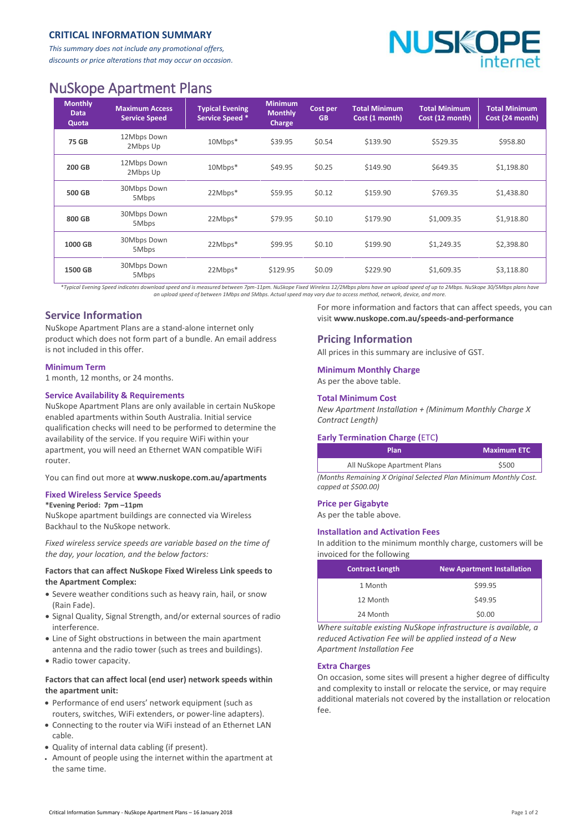## **CRITICAL INFORMATION SUMMARY**

*This summary does not include any promotional offers, discounts or price alterations that may occur on occasion.*



# NuSkope Apartment Plans

| <b>Monthly</b><br><b>Data</b><br>Quota | <b>Maximum Access</b><br><b>Service Speed</b> | <b>Typical Evening</b><br><b>Service Speed *</b> | <b>Minimum</b><br><b>Monthly</b><br>Charge | Cost per<br><b>GB</b> | <b>Total Minimum</b><br>Cost (1 month) | <b>Total Minimum</b><br>Cost (12 month) | <b>Total Minimum</b><br>Cost (24 month) |
|----------------------------------------|-----------------------------------------------|--------------------------------------------------|--------------------------------------------|-----------------------|----------------------------------------|-----------------------------------------|-----------------------------------------|
| 75 GB                                  | 12Mbps Down<br>2Mbps Up                       | $10Mbps*$                                        | \$39.95                                    | \$0.54                | \$139.90                               | \$529.35                                | \$958.80                                |
| 200 GB                                 | 12Mbps Down<br>2Mbps Up                       | $10Mbps*$                                        | \$49.95                                    | \$0.25                | \$149.90                               | \$649.35                                | \$1,198.80                              |
| 500 GB                                 | 30Mbps Down<br>5Mbps                          | 22Mbps*                                          | \$59.95                                    | \$0.12                | \$159.90                               | \$769.35                                | \$1,438.80                              |
| 800 GB                                 | 30Mbps Down<br>5Mbps                          | 22Mbps*                                          | \$79.95                                    | \$0.10                | \$179.90                               | \$1,009.35                              | \$1,918.80                              |
| 1000 GB                                | 30Mbps Down<br>5Mbps                          | 22Mbps*                                          | \$99.95                                    | \$0.10                | \$199.90                               | \$1.249.35                              | \$2,398.80                              |
| 1500 GB                                | 30Mbps Down<br>5Mbps                          | 22Mbps*                                          | \$129.95                                   | \$0.09                | \$229.90                               | \$1.609.35                              | \$3,118.80                              |

*\*Typical Evening Speed indicates download speed and is measured between 7pm-11pm. NuSkope Fixed Wireless 12/2Mbps plans have an upload speed of up to 2Mbps. NuSkope 30/5Mbps plans have an upload speed of between 1Mbps and 5Mbps. Actual speed may vary due to access method, network, device, and more.*

## **Service Information**

NuSkope Apartment Plans are a stand-alone internet only product which does not form part of a bundle. An email address is not included in this offer.

#### **Minimum Term**

1 month, 12 months, or 24 months.

#### **Service Availability & Requirements**

NuSkope Apartment Plans are only available in certain NuSkope enabled apartments within South Australia. Initial service qualification checks will need to be performed to determine the availability of the service. If you require WiFi within your apartment, you will need an Ethernet WAN compatible WiFi router.

You can find out more at **<www.nuskope.com.au/apartments>**

## **Fixed Wireless Service Speeds**

#### **\*Evening Period: 7pm –11pm**

NuSkope apartment buildings are connected via Wireless Backhaul to the NuSkope network.

*Fixed wireless service speeds are variable based on the time of the day, your location, and the below factors:*

#### **Factors that can affect NuSkope Fixed Wireless Link speeds to the Apartment Complex:**

- Severe weather conditions such as heavy rain, hail, or snow (Rain Fade).
- Signal Quality, Signal Strength, and/or external sources of radio interference.
- Line of Sight obstructions in between the main apartment antenna and the radio tower (such as trees and buildings).
- Radio tower capacity.

## **Factors that can affect local (end user) network speeds within the apartment unit:**

- Performance of end users' network equipment (such as routers, switches, WiFi extenders, or power-line adapters).
- Connecting to the router via WiFi instead of an Ethernet LAN cable.
- Quality of internal data cabling (if present).
- Amount of people using the internet within the apartment at the same time.

For more information and factors that can affect speeds, you can visit **[www.nuskope.com.au/speeds-and-performance](http://www.nuskope.com.au/speeds-and-performance)**

## **Pricing Information**

All prices in this summary are inclusive of GST.

## **Minimum Monthly Charge**

As per the above table.

#### **Total Minimum Cost**

*New Apartment Installation + (Minimum Monthly Charge X Contract Length)*

#### **Early Termination Charge (**ETC**)**

| <b>Plan</b>                 | <b>Maximum ETC</b> |  |  |
|-----------------------------|--------------------|--|--|
| All NuSkope Apartment Plans | \$500              |  |  |
| .                           | .                  |  |  |

*(Months Remaining X Original Selected Plan Minimum Monthly Cost. capped at \$500.00)*

#### **Price per Gigabyte**

As per the table above.

#### **Installation and Activation Fees**

In addition to the minimum monthly charge, customers will be invoiced for the following

| <b>Contract Length</b> | <b>New Apartment Installation</b> |
|------------------------|-----------------------------------|
| 1 Month                | \$99.95                           |
| 12 Month               | \$49.95                           |
| 24 Month               | \$0.00                            |

*Where suitable existing NuSkope infrastructure is available, a reduced Activation Fee will be applied instead of a New Apartment Installation Fee*

#### **Extra Charges**

On occasion, some sites will present a higher degree of difficulty and complexity to install or relocate the service, or may require additional materials not covered by the installation or relocation fee.